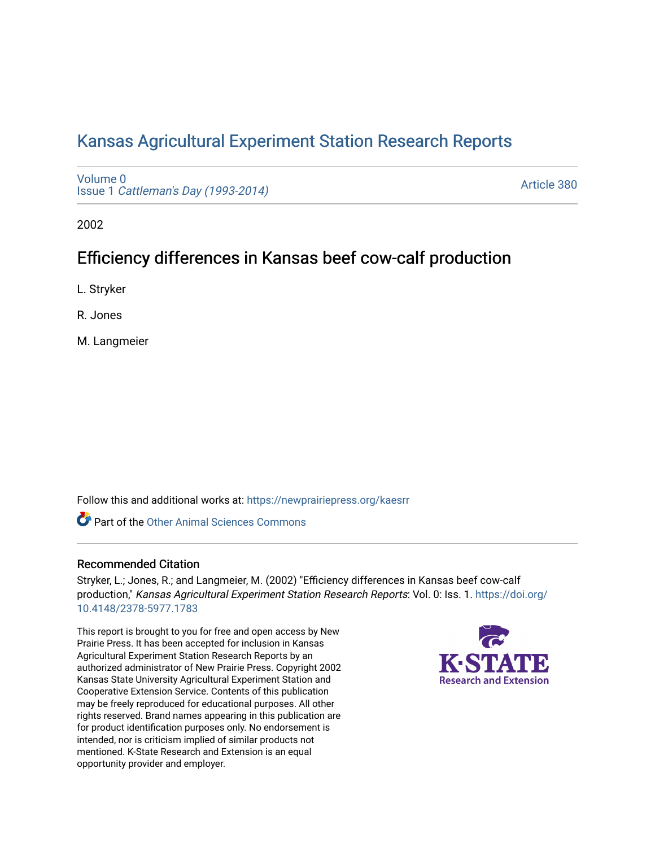# [Kansas Agricultural Experiment Station Research Reports](https://newprairiepress.org/kaesrr)

[Volume 0](https://newprairiepress.org/kaesrr/vol0) Issue 1 [Cattleman's Day \(1993-2014\)](https://newprairiepress.org/kaesrr/vol0/iss1) 

[Article 380](https://newprairiepress.org/kaesrr/vol0/iss1/380) 

2002

# Efficiency differences in Kansas beef cow-calf production

L. Stryker

R. Jones

M. Langmeier

Follow this and additional works at: [https://newprairiepress.org/kaesrr](https://newprairiepress.org/kaesrr?utm_source=newprairiepress.org%2Fkaesrr%2Fvol0%2Fiss1%2F380&utm_medium=PDF&utm_campaign=PDFCoverPages) 

**C** Part of the [Other Animal Sciences Commons](http://network.bepress.com/hgg/discipline/82?utm_source=newprairiepress.org%2Fkaesrr%2Fvol0%2Fiss1%2F380&utm_medium=PDF&utm_campaign=PDFCoverPages)

### Recommended Citation

Stryker, L.; Jones, R.; and Langmeier, M. (2002) "Efficiency differences in Kansas beef cow-calf production," Kansas Agricultural Experiment Station Research Reports: Vol. 0: Iss. 1. [https://doi.org/](https://doi.org/10.4148/2378-5977.1783) [10.4148/2378-5977.1783](https://doi.org/10.4148/2378-5977.1783)

This report is brought to you for free and open access by New Prairie Press. It has been accepted for inclusion in Kansas Agricultural Experiment Station Research Reports by an authorized administrator of New Prairie Press. Copyright 2002 Kansas State University Agricultural Experiment Station and Cooperative Extension Service. Contents of this publication may be freely reproduced for educational purposes. All other rights reserved. Brand names appearing in this publication are for product identification purposes only. No endorsement is intended, nor is criticism implied of similar products not mentioned. K-State Research and Extension is an equal opportunity provider and employer.

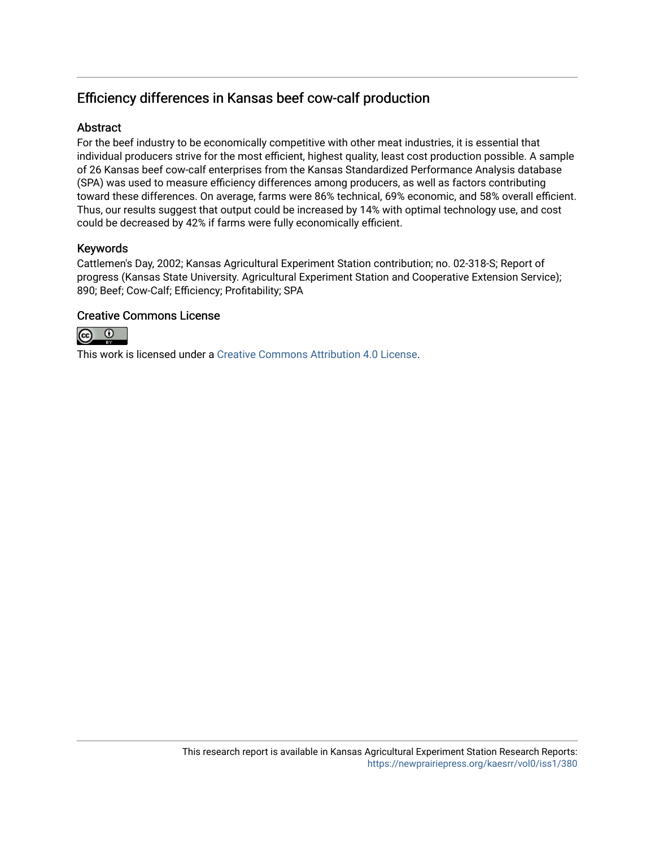# Efficiency differences in Kansas beef cow-calf production

### **Abstract**

For the beef industry to be economically competitive with other meat industries, it is essential that individual producers strive for the most efficient, highest quality, least cost production possible. A sample of 26 Kansas beef cow-calf enterprises from the Kansas Standardized Performance Analysis database (SPA) was used to measure efficiency differences among producers, as well as factors contributing toward these differences. On average, farms were 86% technical, 69% economic, and 58% overall efficient. Thus, our results suggest that output could be increased by 14% with optimal technology use, and cost could be decreased by 42% if farms were fully economically efficient.

# Keywords

Cattlemen's Day, 2002; Kansas Agricultural Experiment Station contribution; no. 02-318-S; Report of progress (Kansas State University. Agricultural Experiment Station and Cooperative Extension Service); 890; Beef; Cow-Calf; Efficiency; Profitability; SPA

# Creative Commons License



This work is licensed under a [Creative Commons Attribution 4.0 License](https://creativecommons.org/licenses/by/4.0/).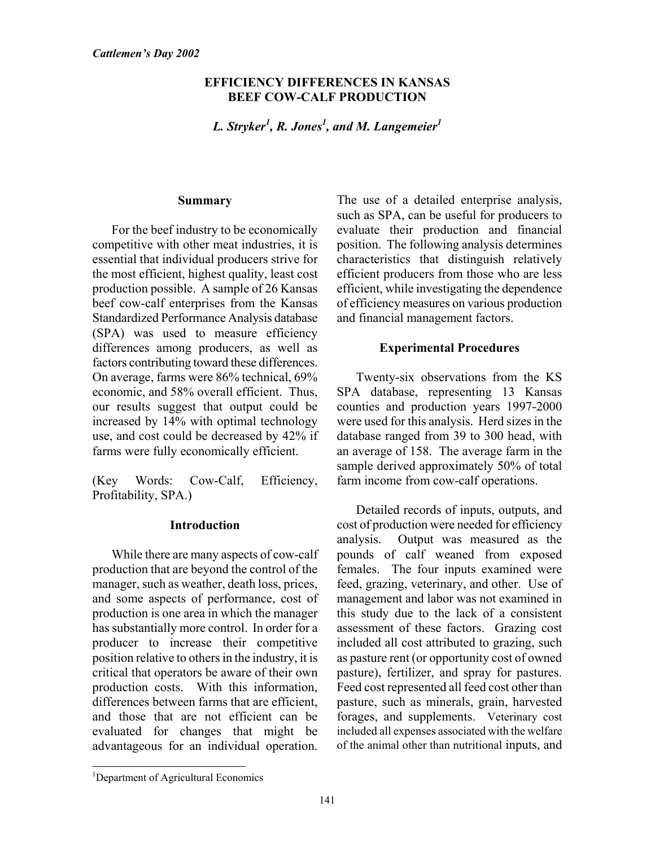### **EFFICIENCY DIFFERENCES IN KANSAS BEEF COW-CALF PRODUCTION**

*L. Stryker<sup>1</sup> , R. Jones1 , and M. Langemeier1*

#### **Summary**

For the beef industry to be economically competitive with other meat industries, it is essential that individual producers strive for the most efficient, highest quality, least cost production possible. A sample of 26 Kansas beef cow-calf enterprises from the Kansas Standardized Performance Analysis database (SPA) was used to measure efficiency differences among producers, as well as factors contributing toward these differences. On average, farms were 86% technical, 69% economic, and 58% overall efficient. Thus, our results suggest that output could be increased by 14% with optimal technology use, and cost could be decreased by 42% if farms were fully economically efficient.

(Key Words: Cow-Calf, Efficiency, Profitability, SPA.)

### **Introduction**

While there are many aspects of cow-calf production that are beyond the control of the manager, such as weather, death loss, prices, and some aspects of performance, cost of production is one area in which the manager has substantially more control. In order for a producer to increase their competitive position relative to others in the industry, it is critical that operators be aware of their own production costs. With this information, differences between farms that are efficient, and those that are not efficient can be evaluated for changes that might be advantageous for an individual operation.

The use of a detailed enterprise analysis, such as SPA, can be useful for producers to evaluate their production and financial position. The following analysis determines characteristics that distinguish relatively efficient producers from those who are less efficient, while investigating the dependence of efficiency measures on various production and financial management factors.

# **Experimental Procedures**

Twenty-six observations from the KS SPA database, representing 13 Kansas counties and production years 1997-2000 were used for this analysis. Herd sizes in the database ranged from 39 to 300 head, with an average of 158. The average farm in the sample derived approximately 50% of total farm income from cow-calf operations.

Detailed records of inputs, outputs, and cost of production were needed for efficiency analysis. Output was measured as the pounds of calf weaned from exposed females. The four inputs examined were feed, grazing, veterinary, and other. Use of management and labor was not examined in this study due to the lack of a consistent assessment of these factors. Grazing cost included all cost attributed to grazing, such as pasture rent (or opportunity cost of owned pasture), fertilizer, and spray for pastures. Feed cost represented all feed cost other than pasture, such as minerals, grain, harvested forages, and supplements. Veterinary cost included all expenses associated with the welfare of the animal other than nutritional inputs, and

 1 Department of Agricultural Economics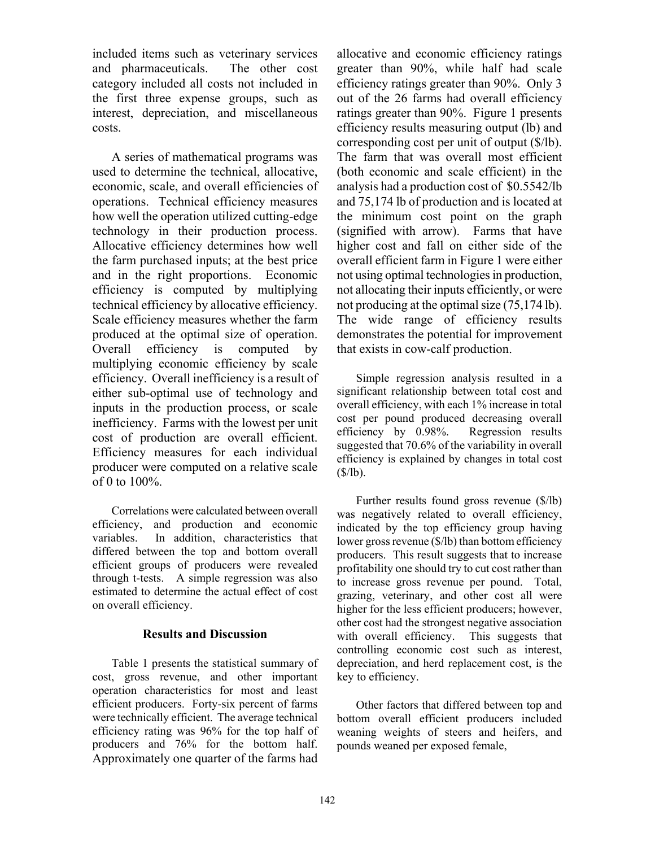included items such as veterinary services and pharmaceuticals. The other cost category included all costs not included in the first three expense groups, such as interest, depreciation, and miscellaneous costs.

A series of mathematical programs was used to determine the technical, allocative, economic, scale, and overall efficiencies of operations. Technical efficiency measures how well the operation utilized cutting-edge technology in their production process. Allocative efficiency determines how well the farm purchased inputs; at the best price and in the right proportions. Economic efficiency is computed by multiplying technical efficiency by allocative efficiency. Scale efficiency measures whether the farm produced at the optimal size of operation. Overall efficiency is computed by multiplying economic efficiency by scale efficiency. Overall inefficiency is a result of either sub-optimal use of technology and inputs in the production process, or scale inefficiency. Farms with the lowest per unit cost of production are overall efficient. Efficiency measures for each individual producer were computed on a relative scale of 0 to 100%.

Correlations were calculated between overall efficiency, and production and economic variables. In addition, characteristics that differed between the top and bottom overall efficient groups of producers were revealed through t-tests. A simple regression was also estimated to determine the actual effect of cost on overall efficiency.

### **Results and Discussion**

Table 1 presents the statistical summary of cost, gross revenue, and other important operation characteristics for most and least efficient producers. Forty-six percent of farms were technically efficient. The average technical efficiency rating was 96% for the top half of producers and 76% for the bottom half. Approximately one quarter of the farms had allocative and economic efficiency ratings greater than 90%, while half had scale efficiency ratings greater than 90%. Only 3 out of the 26 farms had overall efficiency ratings greater than 90%. Figure 1 presents efficiency results measuring output (lb) and corresponding cost per unit of output (\$/lb). The farm that was overall most efficient (both economic and scale efficient) in the analysis had a production cost of \$0.5542/lb and 75,174 lb of production and is located at the minimum cost point on the graph (signified with arrow). Farms that have higher cost and fall on either side of the overall efficient farm in Figure 1 were either not using optimal technologies in production, not allocating their inputs efficiently, or were not producing at the optimal size (75,174 lb). The wide range of efficiency results demonstrates the potential for improvement that exists in cow-calf production.

Simple regression analysis resulted in a significant relationship between total cost and overall efficiency, with each 1% increase in total cost per pound produced decreasing overall efficiency by 0.98%. Regression results suggested that 70.6% of the variability in overall efficiency is explained by changes in total cost  $(S/lb)$ .

Further results found gross revenue (\$/lb) was negatively related to overall efficiency, indicated by the top efficiency group having lower gross revenue (\$/lb) than bottom efficiency producers. This result suggests that to increase profitability one should try to cut cost rather than to increase gross revenue per pound. Total, grazing, veterinary, and other cost all were higher for the less efficient producers; however, other cost had the strongest negative association with overall efficiency. This suggests that controlling economic cost such as interest, depreciation, and herd replacement cost, is the key to efficiency.

Other factors that differed between top and bottom overall efficient producers included weaning weights of steers and heifers, and pounds weaned per exposed female,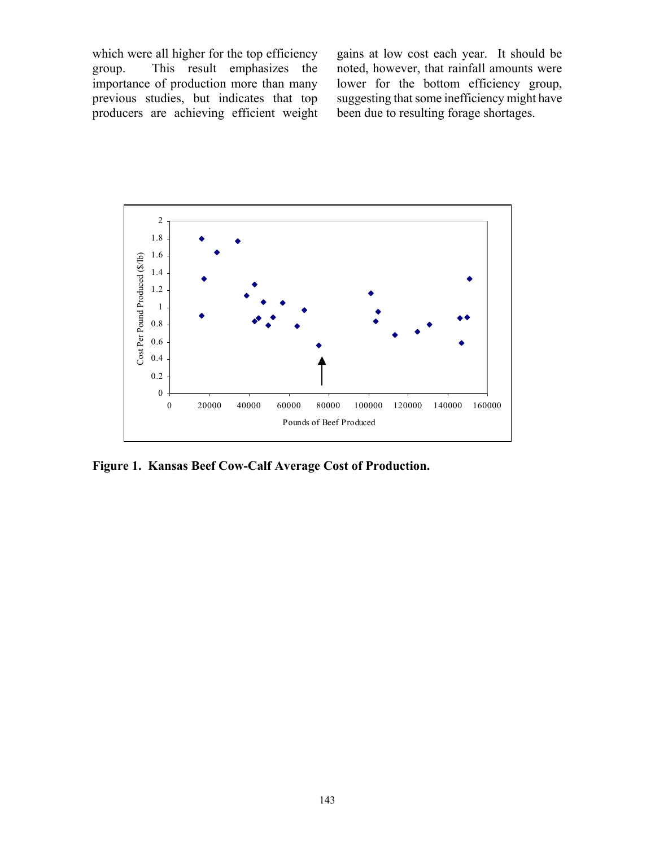which were all higher for the top efficiency group. This result emphasizes the importance of production more than many previous studies, but indicates that top producers are achieving efficient weight

gains at low cost each year. It should be noted, however, that rainfall amounts were lower for the bottom efficiency group, suggesting that some inefficiency might have been due to resulting forage shortages.



**Figure 1. Kansas Beef Cow-Calf Average Cost of Production.**